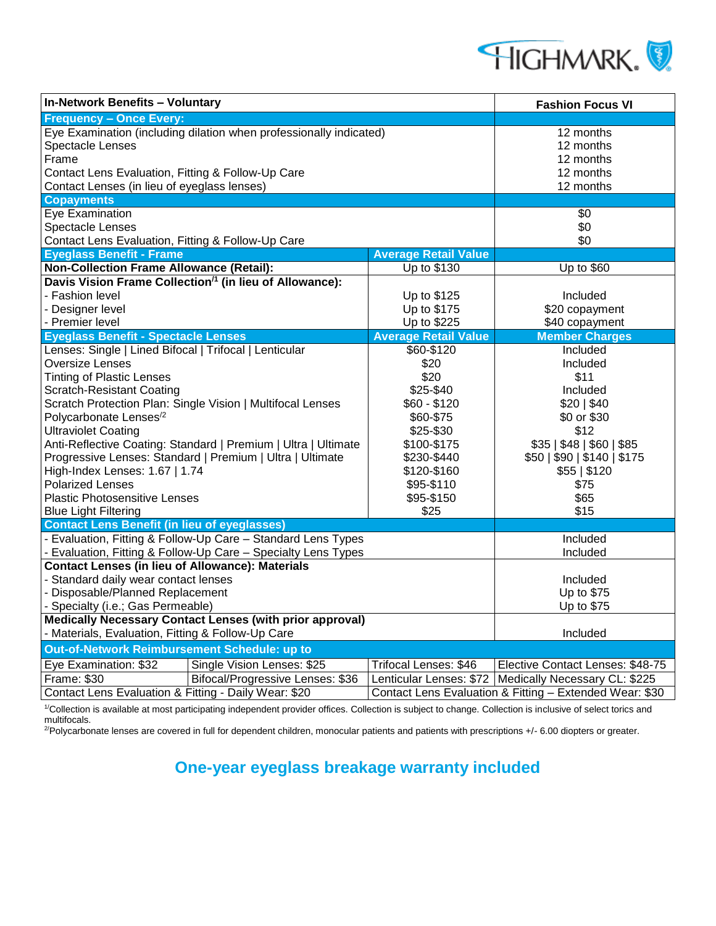

| In-Network Benefits - Voluntary                                                                                                                                                                            |                                                         | <b>Fashion Focus VI</b>                                          |
|------------------------------------------------------------------------------------------------------------------------------------------------------------------------------------------------------------|---------------------------------------------------------|------------------------------------------------------------------|
| <b>Frequency - Once Every:</b>                                                                                                                                                                             |                                                         |                                                                  |
| Eye Examination (including dilation when professionally indicated)<br><b>Spectacle Lenses</b><br>Frame<br>Contact Lens Evaluation, Fitting & Follow-Up Care<br>Contact Lenses (in lieu of eyeglass lenses) |                                                         | 12 months<br>12 months<br>12 months<br>12 months<br>12 months    |
| <b>Copayments</b>                                                                                                                                                                                          |                                                         |                                                                  |
| Eye Examination<br><b>Spectacle Lenses</b><br>Contact Lens Evaluation, Fitting & Follow-Up Care                                                                                                            |                                                         | \$0<br>\$0<br>\$0                                                |
| <b>Eyeglass Benefit - Frame</b>                                                                                                                                                                            | <b>Average Retail Value</b>                             |                                                                  |
| <b>Non-Collection Frame Allowance (Retail):</b>                                                                                                                                                            | Up to \$130                                             | Up to \$60                                                       |
| Davis Vision Frame Collection <sup>/1</sup> (in lieu of Allowance):                                                                                                                                        |                                                         |                                                                  |
| - Fashion level<br>- Designer level<br>- Premier level                                                                                                                                                     | Up to \$125<br>Up to \$175<br>Up to \$225               | Included<br>\$20 copayment<br>\$40 copayment                     |
| <b>Eyeglass Benefit - Spectacle Lenses</b>                                                                                                                                                                 | <b>Average Retail Value</b>                             | <b>Member Charges</b>                                            |
| Lenses: Single   Lined Bifocal   Trifocal   Lenticular<br><b>Oversize Lenses</b><br><b>Tinting of Plastic Lenses</b>                                                                                       | \$60-\$120<br>\$20<br>\$20                              | Included<br>Included<br>\$11                                     |
| <b>Scratch-Resistant Coating</b><br>Scratch Protection Plan: Single Vision   Multifocal Lenses<br>Polycarbonate Lenses <sup>/2</sup>                                                                       | \$25-\$40<br>$$60 - $120$<br>\$60-\$75                  | Included<br>\$20   \$40<br>\$0 or \$30                           |
| <b>Ultraviolet Coating</b><br>Anti-Reflective Coating: Standard   Premium   Ultra   Ultimate<br>Progressive Lenses: Standard   Premium   Ultra   Ultimate                                                  | \$25-\$30<br>\$100-\$175<br>\$230-\$440                 | \$12<br>\$35   \$48   \$60   \$85<br>\$50   \$90   \$140   \$175 |
| High-Index Lenses: 1.67   1.74<br><b>Polarized Lenses</b><br><b>Plastic Photosensitive Lenses</b><br><b>Blue Light Filtering</b>                                                                           | \$120-\$160<br>\$95-\$110<br>\$95-\$150<br>\$25         | \$55   \$120<br>\$75<br>\$65<br>\$15                             |
| <b>Contact Lens Benefit (in lieu of eyeglasses)</b>                                                                                                                                                        |                                                         |                                                                  |
| - Evaluation, Fitting & Follow-Up Care - Standard Lens Types<br>- Evaluation, Fitting & Follow-Up Care - Specialty Lens Types                                                                              |                                                         | Included<br>Included                                             |
| <b>Contact Lenses (in lieu of Allowance): Materials</b><br>- Standard daily wear contact lenses<br>- Disposable/Planned Replacement<br>- Specialty (i.e.; Gas Permeable)                                   |                                                         | Included<br>Up to \$75<br>Up to \$75                             |
| Medically Necessary Contact Lenses (with prior approval)<br>- Materials, Evaluation, Fitting & Follow-Up Care                                                                                              |                                                         | Included                                                         |
| Out-of-Network Reimbursement Schedule: up to                                                                                                                                                               |                                                         |                                                                  |
| Single Vision Lenses: \$25<br>Eye Examination: \$32                                                                                                                                                        | Trifocal Lenses: \$46                                   | Elective Contact Lenses: \$48-75                                 |
| Frame: \$30<br>Bifocal/Progressive Lenses: \$36                                                                                                                                                            |                                                         | Lenticular Lenses: \$72   Medically Necessary CL: \$225          |
| Contact Lens Evaluation & Fitting - Daily Wear: \$20                                                                                                                                                       | Contact Lens Evaluation & Fitting - Extended Wear: \$30 |                                                                  |

<sup>1/</sup>Collection is available at most participating independent provider offices. Collection is subject to change. Collection is inclusive of select torics and multifocals.

 $^{2}$ Polycarbonate lenses are covered in full for dependent children, monocular patients and patients with prescriptions +/- 6.00 diopters or greater.

## **One-year eyeglass breakage warranty included**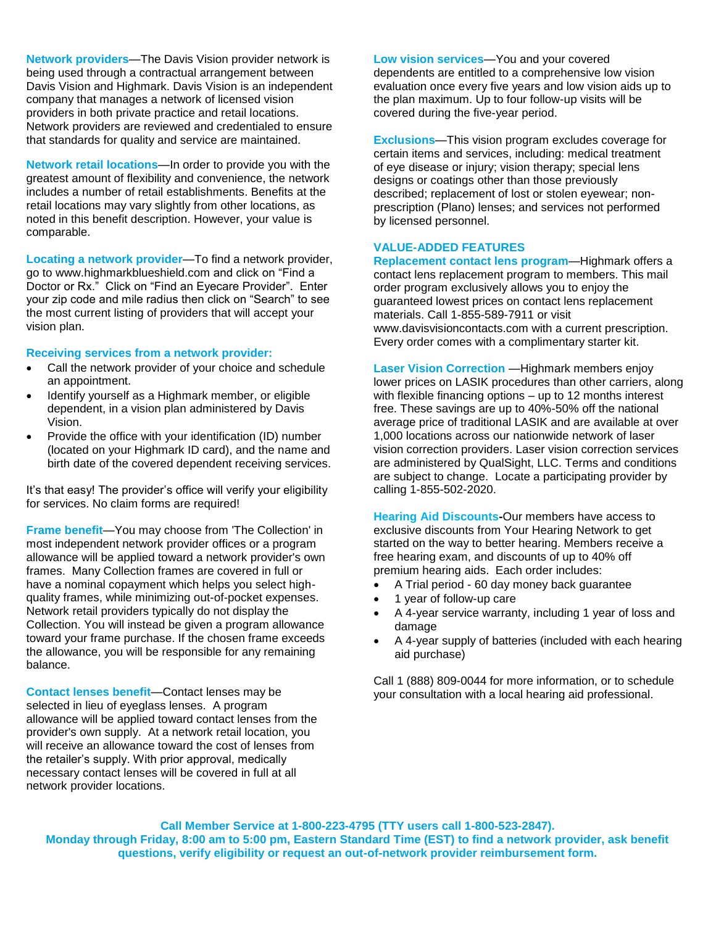**Network providers**—The Davis Vision provider network is being used through a contractual arrangement between Davis Vision and Highmark. Davis Vision is an independent company that manages a network of licensed vision providers in both private practice and retail locations. Network providers are reviewed and credentialed to ensure that standards for quality and service are maintained.

**Network retail locations**—In order to provide you with the greatest amount of flexibility and convenience, the network includes a number of retail establishments. Benefits at the retail locations may vary slightly from other locations, as noted in this benefit description. However, your value is comparable.

**Locating a network provider**—To find a network provider, go to www.highmarkblueshield.com and click on "Find a Doctor or Rx." Click on "Find an Eyecare Provider". Enter your zip code and mile radius then click on "Search" to see the most current listing of providers that will accept your vision plan.

## **Receiving services from a network provider:**

- Call the network provider of your choice and schedule an appointment.
- Identify yourself as a Highmark member, or eligible dependent, in a vision plan administered by Davis Vision.
- Provide the office with your identification (ID) number (located on your Highmark ID card), and the name and birth date of the covered dependent receiving services.

It's that easy! The provider's office will verify your eligibility for services. No claim forms are required!

**Frame benefit**—You may choose from 'The Collection' in most independent network provider offices or a program allowance will be applied toward a network provider's own frames. Many Collection frames are covered in full or have a nominal copayment which helps you select highquality frames, while minimizing out-of-pocket expenses. Network retail providers typically do not display the Collection. You will instead be given a program allowance toward your frame purchase. If the chosen frame exceeds the allowance, you will be responsible for any remaining balance.

**Contact lenses benefit**—Contact lenses may be selected in lieu of eyeglass lenses. A program allowance will be applied toward contact lenses from the provider's own supply. At a network retail location, you will receive an allowance toward the cost of lenses from the retailer's supply. With prior approval, medically necessary contact lenses will be covered in full at all network provider locations.

**Low vision services**—You and your covered dependents are entitled to a comprehensive low vision evaluation once every five years and low vision aids up to the plan maximum. Up to four follow-up visits will be covered during the five-year period.

**Exclusions**—This vision program excludes coverage for certain items and services, including: medical treatment of eye disease or injury; vision therapy; special lens designs or coatings other than those previously described; replacement of lost or stolen eyewear; nonprescription (Plano) lenses; and services not performed by licensed personnel.

## **VALUE-ADDED FEATURES**

**Replacement contact lens program**—Highmark offers a contact lens replacement program to members. This mail order program exclusively allows you to enjoy the guaranteed lowest prices on contact lens replacement materials. Call 1-855-589-7911 or visit www.davisvisioncontacts.com with a current prescription. Every order comes with a complimentary starter kit.

**Laser Vision Correction** — Highmark members enjoy lower prices on LASIK procedures than other carriers, along with flexible financing options – up to 12 months interest free. These savings are up to 40%-50% off the national average price of traditional LASIK and are available at over 1,000 locations across our nationwide network of laser vision correction providers. Laser vision correction services are administered by QualSight, LLC. Terms and conditions are subject to change. Locate a participating provider by calling 1-855-502-2020.

**Hearing Aid Discounts-**Our members have access to exclusive discounts from Your Hearing Network to get started on the way to better hearing. Members receive a free hearing exam, and discounts of up to 40% off premium hearing aids. Each order includes:

- A Trial period 60 day money back guarantee
- 1 year of follow-up care
- A 4-year service warranty, including 1 year of loss and damage
- A 4-year supply of batteries (included with each hearing aid purchase)

Call 1 (888) 809-0044 for more information, or to schedule your consultation with a local hearing aid professional.

**Call Member Service at 1-800-223-4795 (TTY users call 1-800-523-2847). Monday through Friday, 8:00 am to 5:00 pm, Eastern Standard Time (EST) to find a network provider, ask benefit questions, verify eligibility or request an out-of-network provider reimbursement form.**